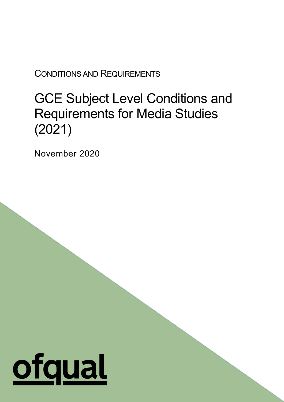CONDITIONS AND REQUIREMENTS

# GCE Subject Level Conditions and Requirements for Media Studies (2021)

1

November 2020

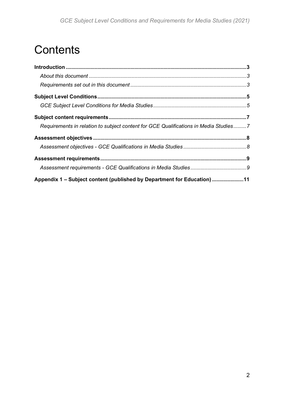# **Contents**

| Requirements in relation to subject content for GCE Qualifications in Media Studies7 |  |
|--------------------------------------------------------------------------------------|--|
|                                                                                      |  |
|                                                                                      |  |
|                                                                                      |  |
|                                                                                      |  |
| Appendix 1 - Subject content (published by Department for Education) 11              |  |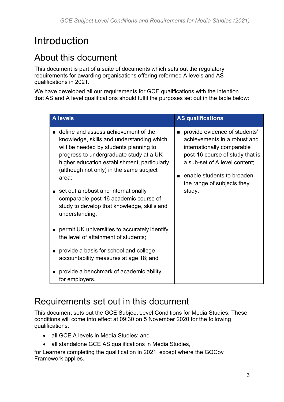# <span id="page-2-0"></span>**Introduction**

## <span id="page-2-1"></span>About this document

This document is part of a suite of documents which sets out the regulatory requirements for awarding organisations offering reformed A levels and AS qualifications in 2021.

We have developed all our requirements for GCE qualifications with the intention that AS and A level qualifications should fulfil the purposes set out in the table below:

|                | <b>A</b> levels                                                                                                                                                                                                                                                            | <b>AS qualifications</b>                                                                                                                                                                                                                      |
|----------------|----------------------------------------------------------------------------------------------------------------------------------------------------------------------------------------------------------------------------------------------------------------------------|-----------------------------------------------------------------------------------------------------------------------------------------------------------------------------------------------------------------------------------------------|
|                | define and assess achievement of the<br>knowledge, skills and understanding which<br>will be needed by students planning to<br>progress to undergraduate study at a UK<br>higher education establishment, particularly<br>(although not only) in the same subject<br>area; | provide evidence of students'<br>$\blacksquare$<br>achievements in a robust and<br>internationally comparable<br>post-16 course of study that is<br>a sub-set of A level content;<br>enable students to broaden<br>the range of subjects they |
| $\blacksquare$ | set out a robust and internationally<br>comparable post-16 academic course of<br>study to develop that knowledge, skills and<br>understanding;                                                                                                                             | study.                                                                                                                                                                                                                                        |
| п              | permit UK universities to accurately identify<br>the level of attainment of students;                                                                                                                                                                                      |                                                                                                                                                                                                                                               |
| ■              | provide a basis for school and college<br>accountability measures at age 18; and                                                                                                                                                                                           |                                                                                                                                                                                                                                               |
| ■              | provide a benchmark of academic ability<br>for employers.                                                                                                                                                                                                                  |                                                                                                                                                                                                                                               |

## <span id="page-2-2"></span>Requirements set out in this document

This document sets out the GCE Subject Level Conditions for Media Studies. These conditions will come into effect at 09:30 on 5 November 2020 for the following qualifications:

- all GCE A levels in Media Studies; and
- all standalone GCE AS qualifications in Media Studies,

for Learners completing the qualification in 2021, except where the GQCov Framework applies.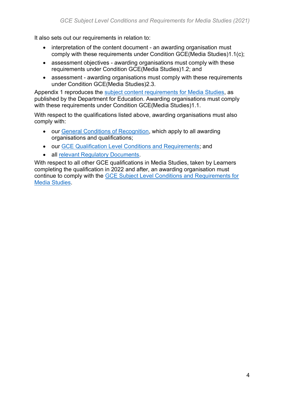It also sets out our requirements in relation to:

- interpretation of the content document an awarding organisation must comply with these requirements under Condition GCE(Media Studies)1.1(c);
- assessment objectives awarding organisations must comply with these requirements under Condition GCE(Media Studies)1.2; and
- assessment awarding organisations must comply with these requirements under Condition GCE(Media Studies)2.3.

Appendix 1 reproduces the [subject content requirements for Media Studies,](https://www.gov.uk/government/publications/gce-as-and-a-level-media-studies) as published by the Department for Education. Awarding organisations must comply with these requirements under Condition GCE(Media Studies)1.1.

With respect to the qualifications listed above, awarding organisations must also comply with:

- our [General Conditions of Recognition,](https://www.gov.uk/government/publications/general-conditions-of-recognition) which apply to all awarding organisations and qualifications;
- our [GCE Qualification Level Conditions and Requirements;](https://www.gov.uk/government/publications/gce-qualification-level-conditions-and-requirements) and
- all [relevant Regulatory Documents.](https://www.gov.uk/guidance/regulatory-document-list)

With respect to all other GCE qualifications in Media Studies, taken by Learners completing the qualification in 2022 and after, an awarding organisation must continue to comply with the [GCE Subject Level Conditions and Requirements for](https://www.gov.uk/government/publications/gce-subject-level-conditions-and-requirements-for-media-studies)  [Media Studies.](https://www.gov.uk/government/publications/gce-subject-level-conditions-and-requirements-for-media-studies)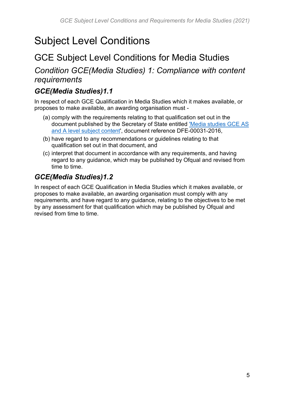# <span id="page-4-0"></span>Subject Level Conditions

## <span id="page-4-1"></span>GCE Subject Level Conditions for Media Studies

#### *Condition GCE(Media Studies) 1: Compliance with content requirements*

#### *GCE(Media Studies)1.1*

In respect of each GCE Qualification in Media Studies which it makes available, or proposes to make available, an awarding organisation must -

- (a) comply with the requirements relating to that qualification set out in the document published by the Secretary of State entitled ['Media studies GCE AS](https://www.gov.uk/government/publications/gce-as-and-a-level-media-studies)  [and A level subject content',](https://www.gov.uk/government/publications/gce-as-and-a-level-media-studies) document reference DFE-00031-2016,
- (b) have regard to any recommendations or guidelines relating to that qualification set out in that document, and
- (c) interpret that document in accordance with any requirements, and having regard to any guidance, which may be published by Ofqual and revised from time to time.

#### *GCE(Media Studies)1.2*

In respect of each GCE Qualification in Media Studies which it makes available, or proposes to make available, an awarding organisation must comply with any requirements, and have regard to any guidance, relating to the objectives to be met by any assessment for that qualification which may be published by Ofqual and revised from time to time.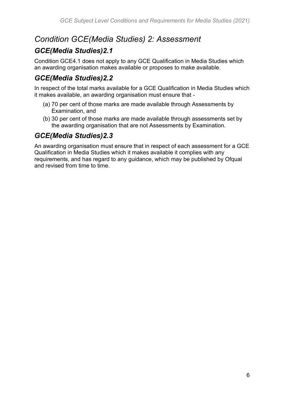#### *Condition GCE(Media Studies) 2: Assessment*

#### *GCE(Media Studies)2.1*

Condition GCE4.1 does not apply to any GCE Qualification in Media Studies which an awarding organisation makes available or proposes to make available.

#### *GCE(Media Studies)2.2*

In respect of the total marks available for a GCE Qualification in Media Studies which it makes available, an awarding organisation must ensure that -

- (a) 70 per cent of those marks are made available through Assessments by Examination, and
- (b) 30 per cent of those marks are made available through assessments set by the awarding organisation that are not Assessments by Examination.

#### *GCE(Media Studies)2.3*

An awarding organisation must ensure that in respect of each assessment for a GCE Qualification in Media Studies which it makes available it complies with any requirements, and has regard to any guidance, which may be published by Ofqual and revised from time to time.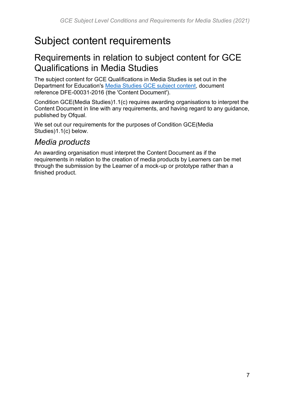# <span id="page-6-0"></span>Subject content requirements

## <span id="page-6-1"></span>Requirements in relation to subject content for GCE Qualifications in Media Studies

The subject content for GCE Qualifications in Media Studies is set out in the Department for Education's [Media Studies GCE subject content,](https://www.gov.uk/government/publications/gce-as-and-a-level-media-studies) document reference DFE-00031-2016 (the 'Content Document').

Condition GCE(Media Studies)1.1(c) requires awarding organisations to interpret the Content Document in line with any requirements, and having regard to any guidance, published by Ofqual.

We set out our requirements for the purposes of Condition GCE(Media Studies)1.1(c) below.

#### *Media products*

An awarding organisation must interpret the Content Document as if the requirements in relation to the creation of media products by Learners can be met through the submission by the Learner of a mock-up or prototype rather than a finished product.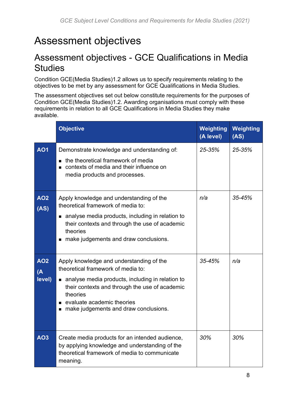## <span id="page-7-0"></span>Assessment objectives

## <span id="page-7-1"></span>Assessment objectives - GCE Qualifications in Media **Studies**

Condition GCE(Media Studies)1.2 allows us to specify requirements relating to the objectives to be met by any assessment for GCE Qualifications in Media Studies.

The assessment objectives set out below constitute requirements for the purposes of Condition GCE(Media Studies)1.2. Awarding organisations must comply with these requirements in relation to all GCE Qualifications in Media Studies they make available.

|                                  | <b>Objective</b>                                                                                                                                                                                                                                                          | Weighting<br>(A level) | Weighting<br>(AS) |
|----------------------------------|---------------------------------------------------------------------------------------------------------------------------------------------------------------------------------------------------------------------------------------------------------------------------|------------------------|-------------------|
| <b>AO1</b>                       | Demonstrate knowledge and understanding of:<br>the theoretical framework of media<br>$\blacksquare$<br>contexts of media and their influence on<br>■<br>media products and processes.                                                                                     | 25-35%                 | $25 - 35%$        |
| <b>AO2</b><br>(AS)               | Apply knowledge and understanding of the<br>theoretical framework of media to:<br>analyse media products, including in relation to<br>■<br>their contexts and through the use of academic<br>theories<br>make judgements and draw conclusions.<br>$\blacksquare$          | n/a                    | 35-45%            |
| AO <sub>2</sub><br>(A)<br>level) | Apply knowledge and understanding of the<br>theoretical framework of media to:<br>• analyse media products, including in relation to<br>their contexts and through the use of academic<br>theories<br>evaluate academic theories<br>make judgements and draw conclusions. | 35-45%                 | n/a               |
| <b>AO3</b>                       | Create media products for an intended audience,<br>by applying knowledge and understanding of the<br>theoretical framework of media to communicate<br>meaning.                                                                                                            | 30%                    | 30%               |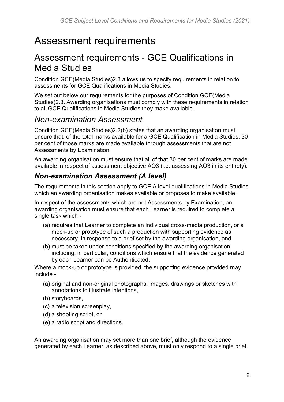## <span id="page-8-0"></span>Assessment requirements

## <span id="page-8-1"></span>Assessment requirements - GCE Qualifications in Media Studies

Condition GCE(Media Studies)2.3 allows us to specify requirements in relation to assessments for GCE Qualifications in Media Studies.

We set out below our requirements for the purposes of Condition GCE(Media Studies)2.3. Awarding organisations must comply with these requirements in relation to all GCE Qualifications in Media Studies they make available.

#### *Non-examination Assessment*

Condition GCE(Media Studies)2.2(b) states that an awarding organisation must ensure that, of the total marks available for a GCE Qualification in Media Studies, 30 per cent of those marks are made available through assessments that are not Assessments by Examination.

An awarding organisation must ensure that all of that 30 per cent of marks are made available in respect of assessment objective AO3 (i.e. assessing AO3 in its entirety).

#### *Non-examination Assessment (A level)*

The requirements in this section apply to GCE A level qualifications in Media Studies which an awarding organisation makes available or proposes to make available.

In respect of the assessments which are not Assessments by Examination, an awarding organisation must ensure that each Learner is required to complete a single task which -

- (a) requires that Learner to complete an individual cross-media production, or a mock-up or prototype of such a production with supporting evidence as necessary, in response to a brief set by the awarding organisation, and
- (b) must be taken under conditions specified by the awarding organisation, including, in particular, conditions which ensure that the evidence generated by each Learner can be Authenticated.

Where a mock-up or prototype is provided, the supporting evidence provided may include -

- (a) original and non-original photographs, images, drawings or sketches with annotations to illustrate intentions,
- (b) storyboards,
- (c) a television screenplay,
- (d) a shooting script, or
- (e) a radio script and directions.

An awarding organisation may set more than one brief, although the evidence generated by each Learner, as described above, must only respond to a single brief.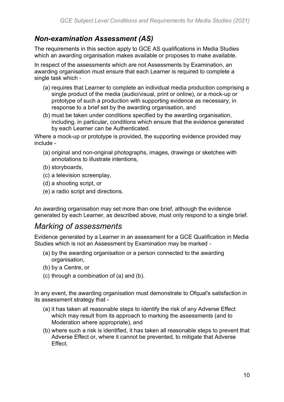#### *Non-examination Assessment (AS)*

The requirements in this section apply to GCE AS qualifications in Media Studies which an awarding organisation makes available or proposes to make available.

In respect of the assessments which are not Assessments by Examination, an awarding organisation must ensure that each Learner is required to complete a single task which -

- (a) requires that Learner to complete an individual media production comprising a single product of the media (audio/visual, print or online), or a mock-up or prototype of such a production with supporting evidence as necessary, in response to a brief set by the awarding organisation, and
- (b) must be taken under conditions specified by the awarding organisation, including, in particular, conditions which ensure that the evidence generated by each Learner can be Authenticated.

Where a mock-up or prototype is provided, the supporting evidence provided may include -

- (a) original and non-original photographs, images, drawings or sketches with annotations to illustrate intentions,
- (b) storyboards,
- (c) a television screenplay,
- (d) a shooting script, or
- (e) a radio script and directions.

An awarding organisation may set more than one brief, although the evidence generated by each Learner, as described above, must only respond to a single brief.

#### *Marking of assessments*

Evidence generated by a Learner in an assessment for a GCE Qualification in Media Studies which is not an Assessment by Examination may be marked -

- (a) by the awarding organisation or a person connected to the awarding organisation,
- (b) by a Centre, or
- (c) through a combination of (a) and (b).

In any event, the awarding organisation must demonstrate to Ofqual's satisfaction in its assessment strategy that -

- (a) it has taken all reasonable steps to identify the risk of any Adverse Effect which may result from its approach to marking the assessments (and to Moderation where appropriate), and
- (b) where such a risk is identified, it has taken all reasonable steps to prevent that Adverse Effect or, where it cannot be prevented, to mitigate that Adverse **Effect.**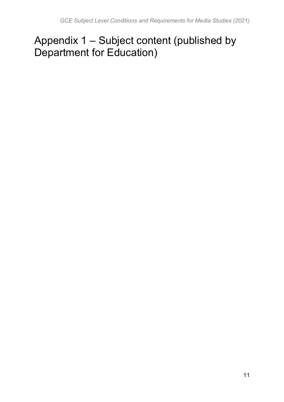# <span id="page-10-0"></span>Appendix 1 – Subject content (published by Department for Education)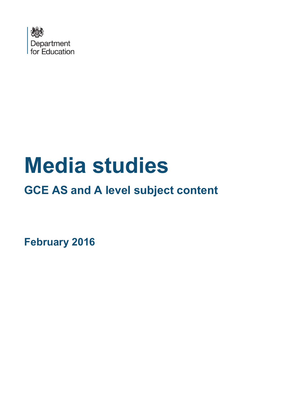

# **Media studies**

**GCE AS and A level subject content**

<span id="page-11-0"></span>**February 2016**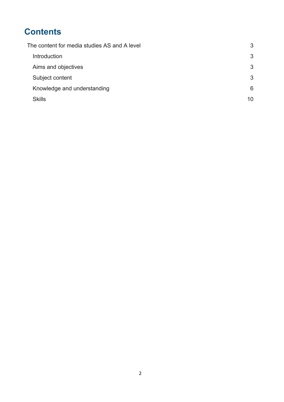## **Contents**

| The content for media studies AS and A level |    |
|----------------------------------------------|----|
| Introduction                                 | 3  |
| Aims and objectives                          | 3  |
| Subject content                              | 3  |
| Knowledge and understanding                  | 6  |
| <b>Skills</b>                                | 10 |
|                                              |    |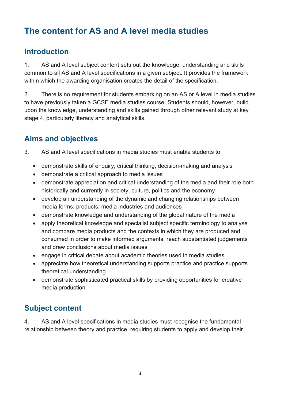## <span id="page-13-0"></span>**The content for AS and A level media studies**

#### <span id="page-13-1"></span>**Introduction**

1. AS and A level subject content sets out the knowledge, understanding and skills common to all AS and A level specifications in a given subject. It provides the framework within which the awarding organisation creates the detail of the specification.

2. There is no requirement for students embarking on an AS or A level in media studies to have previously taken a GCSE media studies course. Students should, however, build upon the knowledge, understanding and skills gained through other relevant study at key stage 4, particularly literacy and analytical skills.

#### <span id="page-13-2"></span>**Aims and objectives**

- 3. AS and A level specifications in media studies must enable students to:
	- demonstrate skills of enquiry, critical thinking, decision-making and analysis
	- demonstrate a critical approach to media issues
	- demonstrate appreciation and critical understanding of the media and their role both historically and currently in society, culture, politics and the economy
	- develop an understanding of the dynamic and changing relationships between media forms, products, media industries and audiences
	- demonstrate knowledge and understanding of the global nature of the media
	- apply theoretical knowledge and specialist subject specific terminology to analyse and compare media products and the contexts in which they are produced and consumed in order to make informed arguments, reach substantiated judgements and draw conclusions about media issues
	- engage in critical debate about academic theories used in media studies
	- appreciate how theoretical understanding supports practice and practice supports theoretical understanding
	- demonstrate sophisticated practical skills by providing opportunities for creative media production

#### **Subject content**

4. AS and A level specifications in media studies must recognise the fundamental relationship between theory and practice, requiring students to apply and develop their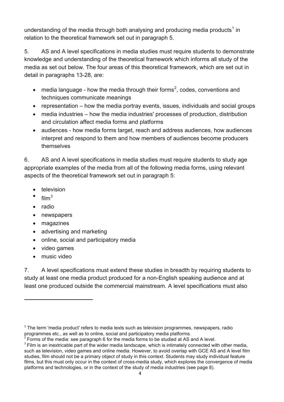understanding of the media through both analysing and producing media products<sup>[1](#page-11-0)</sup> in relation to the theoretical framework set out in paragraph 5.

<span id="page-14-0"></span>5. AS and A level specifications in media studies must require students to demonstrate knowledge and understanding of the theoretical framework which informs all study of the media as set out below. The four areas of this theoretical framework, which are set out in detail in paragraphs 13-28, are:

- media language how the media through their forms<sup>[2](#page-14-1)</sup>, codes, conventions and techniques communicate meanings
- representation how the media portray events, issues, individuals and social groups
- media industries how the media industries' processes of production, distribution and circulation affect media forms and platforms
- audiences how media forms target, reach and address audiences, how audiences interpret and respond to them and how members of audiences become producers themselves

6. AS and A level specifications in media studies must require students to study age appropriate examples of the media from all of the following media forms, using relevant aspects of the theoretical framework set out in paragraph 5:

- **television**
- $film<sup>3</sup>$  $film<sup>3</sup>$  $film<sup>3</sup>$
- radio
- newspapers
- magazines
- advertising and marketing
- online, social and participatory media
- video games
- music video

**.** 

7. A level specifications must extend these studies in breadth by requiring students to study at least one media product produced for a non-English speaking audience and at least one produced outside the commercial mainstream. A level specifications must also

 $1$  The term 'media product' refers to media texts such as television programmes, newspapers, radio programmes etc., as well as to online, social and participatory media platforms.

<span id="page-14-1"></span><sup>2</sup> Forms of the media: see paragraph 6 for the media forms to be studied at AS and A level.

<span id="page-14-3"></span><span id="page-14-2"></span><sup>&</sup>lt;sup>3</sup> Film is an inextricable part of the wider media landscape, which is intimately connected with other media, such as television, video games and online media. However, to avoid overlap with GCE AS and A level film studies, film should not be a primary object of study in this context. Students may study individual feature films, but this must only occur in the context of cross-media study, which explores the convergence of media platforms and technologies, or in the context of the study of media industries (see page 8).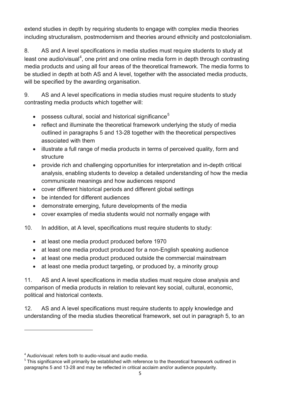extend studies in depth by requiring students to engage with complex media theories including structuralism, postmodernism and theories around ethnicity and postcolonialism.

8. AS and A level specifications in media studies must require students to study at least one audio/visual<sup>[4](#page-14-3)</sup>, one print and one online media form in depth through contrasting media products and using all four areas of the theoretical framework. The media forms to be studied in depth at both AS and A level, together with the associated media products, will be specified by the awarding organisation.

9. AS and A level specifications in media studies must require students to study contrasting media products which together will:

- possess cultural, social and historical significance<sup>[5](#page-15-0)</sup>
- reflect and illuminate the theoretical framework underlying the study of media outlined in paragraphs 5 and 13-28 together with the theoretical perspectives associated with them
- illustrate a full range of media products in terms of perceived quality, form and structure
- provide rich and challenging opportunities for interpretation and in-depth critical analysis, enabling students to develop a detailed understanding of how the media communicate meanings and how audiences respond
- cover different historical periods and different global settings
- be intended for different audiences
- demonstrate emerging, future developments of the media
- cover examples of media students would not normally engage with
- 10. In addition, at A level, specifications must require students to study:
	- at least one media product produced before 1970
	- at least one media product produced for a non-English speaking audience
	- at least one media product produced outside the commercial mainstream
	- at least one media product targeting, or produced by, a minority group

11. AS and A level specifications in media studies must require close analysis and comparison of media products in relation to relevant key social, cultural, economic, political and historical contexts.

<span id="page-15-1"></span>12. AS and A level specifications must require students to apply knowledge and understanding of the media studies theoretical framework, set out in paragraph 5, to an

 $\overline{a}$ 

<span id="page-15-0"></span> $4$  Audio/visual: refers both to audio-visual and audio media.<br>
<sup>5</sup> This significance will primarily be established with reference to the theoretical framework outlined in paragraphs 5 and 13-28 and may be reflected in critical acclaim and/or audience popularity.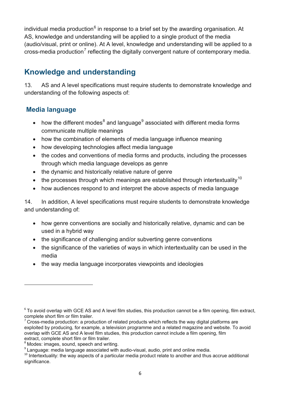individual media production<sup>[6](#page-15-1)</sup> in response to a brief set by the awarding organisation. At AS, knowledge and understanding will be applied to a single product of the media (audio/visual, print or online). At A level, knowledge and understanding will be applied to a cross-media production<sup>[7](#page-16-1)</sup> reflecting the digitally convergent nature of contemporary media.

#### <span id="page-16-0"></span>**Knowledge and understanding**

13. AS and A level specifications must require students to demonstrate knowledge and understanding of the following aspects of:

#### **Media language**

- how the different modes $8$  and language $9$  associated with different media forms communicate multiple meanings
- how the combination of elements of media language influence meaning
- how developing technologies affect media language
- the codes and conventions of media forms and products, including the processes through which media language develops as genre
- the dynamic and historically relative nature of genre
- the processes through which meanings are established through intertextuality<sup>[10](#page-16-4)</sup>
- how audiences respond to and interpret the above aspects of media language

14. In addition, A level specifications must require students to demonstrate knowledge and understanding of:

- how genre conventions are socially and historically relative, dynamic and can be used in a hybrid way
- the significance of challenging and/or subverting genre conventions
- the significance of the varieties of ways in which intertextuality can be used in the media
- the way media language incorporates viewpoints and ideologies

 $\overline{a}$ 

<sup>&</sup>lt;sup>6</sup> To avoid overlap with GCE AS and A level film studies, this production cannot be a film opening, film extract, complete short film or film trailer.

<span id="page-16-1"></span><sup>7</sup> Cross-media production: a production of related products which reflects the way digital platforms are exploited by producing, for example, a television programme and a related magazine and website. To avoid overlap with GCE AS and A level film studies, this production cannot include a film opening, film extract, complete short film or film trailer.

<span id="page-16-2"></span><sup>&</sup>lt;sup>8</sup> Modes: images, sound, speech and writing.<br><sup>9</sup> Language: media language associated with audio-visual, audio, print and online media.

<span id="page-16-5"></span><span id="page-16-4"></span><span id="page-16-3"></span><sup>&</sup>lt;sup>10</sup> Intertextuality: the way aspects of a particular media product relate to another and thus accrue additional significance.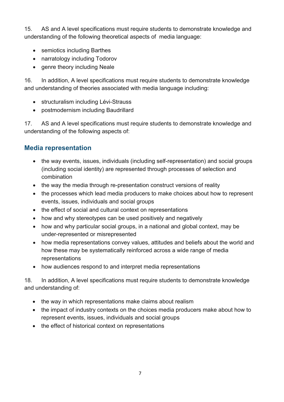15. AS and A level specifications must require students to demonstrate knowledge and understanding of the following theoretical aspects of media language:

- semiotics including Barthes
- narratology including Todorov
- genre theory including Neale

16. In addition, A level specifications must require students to demonstrate knowledge and understanding of theories associated with media language including:

- structuralism including Lévi-Strauss
- postmodernism including Baudrillard

17. AS and A level specifications must require students to demonstrate knowledge and understanding of the following aspects of:

#### **Media representation**

- the way events, issues, individuals (including self-representation) and social groups (including social identity) are represented through processes of selection and combination
- the way the media through re-presentation construct versions of reality
- the processes which lead media producers to make choices about how to represent events, issues, individuals and social groups
- the effect of social and cultural context on representations
- how and why stereotypes can be used positively and negatively
- how and why particular social groups, in a national and global context, may be under-represented or misrepresented
- how media representations convey values, attitudes and beliefs about the world and how these may be systematically reinforced across a wide range of media representations
- how audiences respond to and interpret media representations

18. In addition, A level specifications must require students to demonstrate knowledge and understanding of:

- the way in which representations make claims about realism
- the impact of industry contexts on the choices media producers make about how to represent events, issues, individuals and social groups
- the effect of historical context on representations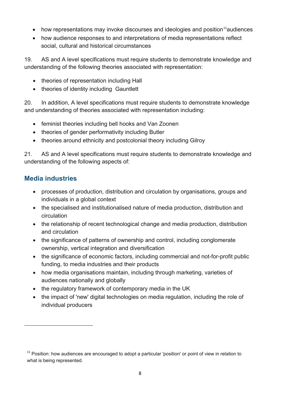- how representations may invoke discourses and ideologies and position<sup>[11](#page-16-5)</sup>audiences
- how audience responses to and interpretations of media representations reflect social, cultural and historical circumstances

19. AS and A level specifications must require students to demonstrate knowledge and understanding of the following theories associated with representation:

- theories of representation including Hall
- theories of identity including Gauntlett

20. In addition, A level specifications must require students to demonstrate knowledge and understanding of theories associated with representation including:

- feminist theories including bell hooks and Van Zoonen
- theories of gender performativity including Butler
- theories around ethnicity and postcolonial theory including Gilroy

21. AS and A level specifications must require students to demonstrate knowledge and understanding of the following aspects of:

#### **Media industries**

**.** 

- processes of production, distribution and circulation by organisations, groups and individuals in a global context
- the specialised and institutionalised nature of media production, distribution and circulation
- the relationship of recent technological change and media production, distribution and circulation
- the significance of patterns of ownership and control, including conglomerate ownership, vertical integration and diversification
- the significance of economic factors, including commercial and not-for-profit public funding, to media industries and their products
- how media organisations maintain, including through marketing, varieties of audiences nationally and globally
- the regulatory framework of contemporary media in the UK
- the impact of 'new' digital technologies on media regulation, including the role of individual producers

<span id="page-18-0"></span> $11$  Position: how audiences are encouraged to adopt a particular 'position' or point of view in relation to what is being represented.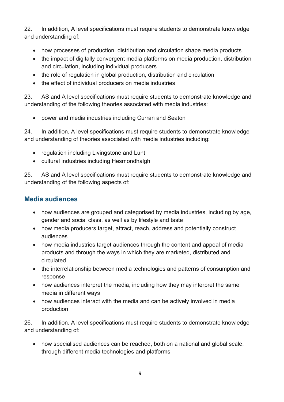22. In addition, A level specifications must require students to demonstrate knowledge and understanding of:

- how processes of production, distribution and circulation shape media products
- the impact of digitally convergent media platforms on media production, distribution and circulation, including individual producers
- the role of regulation in global production, distribution and circulation
- the effect of individual producers on media industries

23. AS and A level specifications must require students to demonstrate knowledge and understanding of the following theories associated with media industries:

• power and media industries including Curran and Seaton

24. In addition, A level specifications must require students to demonstrate knowledge and understanding of theories associated with media industries including:

- regulation including Livingstone and Lunt
- cultural industries including Hesmondhalgh

25. AS and A level specifications must require students to demonstrate knowledge and understanding of the following aspects of:

#### **Media audiences**

- how audiences are grouped and categorised by media industries, including by age, gender and social class, as well as by lifestyle and taste
- how media producers target, attract, reach, address and potentially construct audiences
- how media industries target audiences through the content and appeal of media products and through the ways in which they are marketed, distributed and circulated
- the interrelationship between media technologies and patterns of consumption and response
- how audiences interpret the media, including how they may interpret the same media in different ways
- how audiences interact with the media and can be actively involved in media production

26. In addition, A level specifications must require students to demonstrate knowledge and understanding of:

• how specialised audiences can be reached, both on a national and global scale, through different media technologies and platforms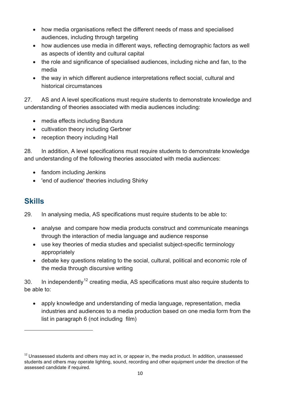- how media organisations reflect the different needs of mass and specialised audiences, including through targeting
- how audiences use media in different ways, reflecting demographic factors as well as aspects of identity and cultural capital
- the role and significance of specialised audiences, including niche and fan, to the media
- the way in which different audience interpretations reflect social, cultural and historical circumstances

27. AS and A level specifications must require students to demonstrate knowledge and understanding of theories associated with media audiences including:

- media effects including Bandura
- cultivation theory including Gerbner
- reception theory including Hall

28. In addition, A level specifications must require students to demonstrate knowledge and understanding of the following theories associated with media audiences:

- fandom including Jenkins
- 'end of audience' theories including Shirky

#### <span id="page-20-0"></span>**Skills**

**.** 

29. In analysing media, AS specifications must require students to be able to:

- analyse and compare how media products construct and communicate meanings through the interaction of media language and audience response
- use key theories of media studies and specialist subject-specific terminology appropriately
- debate key questions relating to the social, cultural, political and economic role of the media through discursive writing

30. In independently<sup>[12](#page-18-0)</sup> creating media, AS specifications must also require students to be able to:

• apply knowledge and understanding of media language, representation, media industries and audiences to a media production based on one media form from the list in paragraph 6 (not including film)

<span id="page-20-1"></span> $12$  Unassessed students and others may act in, or appear in, the media product. In addition, unassessed students and others may operate lighting, sound, recording and other equipment under the direction of the assessed candidate if required.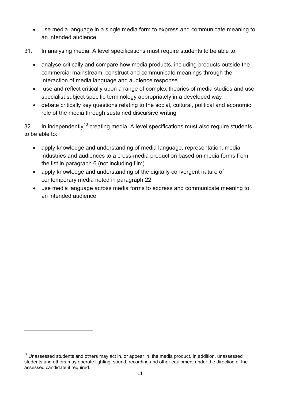- use media language in a single media form to express and communicate meaning to an intended audience
- 31. In analysing media, A level specifications must require students to be able to:
	- analyse critically and compare how media products, including products outside the commercial mainstream, construct and communicate meanings through the interaction of media language and audience response
	- use and reflect critically upon a range of complex theories of media studies and use specialist subject specific terminology appropriately in a developed way
	- debate critically key questions relating to the social, cultural, political and economic role of the media through sustained discursive writing

32. In independently<sup>[13](#page-20-1)</sup> creating media, A level specifications must also require students to be able to:

- apply knowledge and understanding of media language, representation, media industries and audiences to a cross-media production based on media forms from the list in paragraph 6 (not including film)
- apply knowledge and understanding of the digitally convergent nature of contemporary media noted in paragraph 22
- use media language across media forms to express and communicate meaning to an intended audience

**.** 

 $13$  Unassessed students and others may act in, or appear in, the media product. In addition, unassessed students and others may operate lighting, sound, recording and other equipment under the direction of the assessed candidate if required.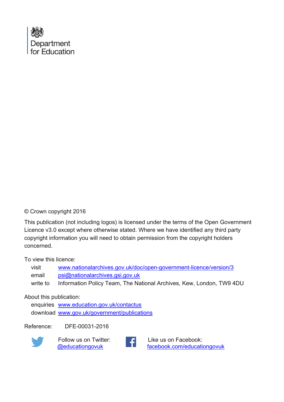

#### © Crown copyright 2016

This publication (not including logos) is licensed under the terms of the Open Government Licence v3.0 except where otherwise stated. Where we have identified any third party copyright information you will need to obtain permission from the copyright holders concerned.

#### To view this licence:

| visit    | www.nationalarchives.gov.uk/doc/open-government-licence/version/3    |
|----------|----------------------------------------------------------------------|
| email    | psi@nationalarchives.gsi.gov.uk                                      |
| write to | Information Policy Team, The National Archives, Kew, London, TW9 4DU |

#### About this publication:

enquiries [www.education.gov.uk/contactus](http://www.education.gov.uk/contactus)  download [www.gov.uk/government/publications](http://www.gov.uk/government/publications) 

Reference: DFE-00031-2016



 Follow us on Twitter: [@educationgovuk](http://twitter.com/educationgovuk)



Like us on Facebook: [facebook.com/educationgovuk](http://www.facebook.com/educationgovuk)